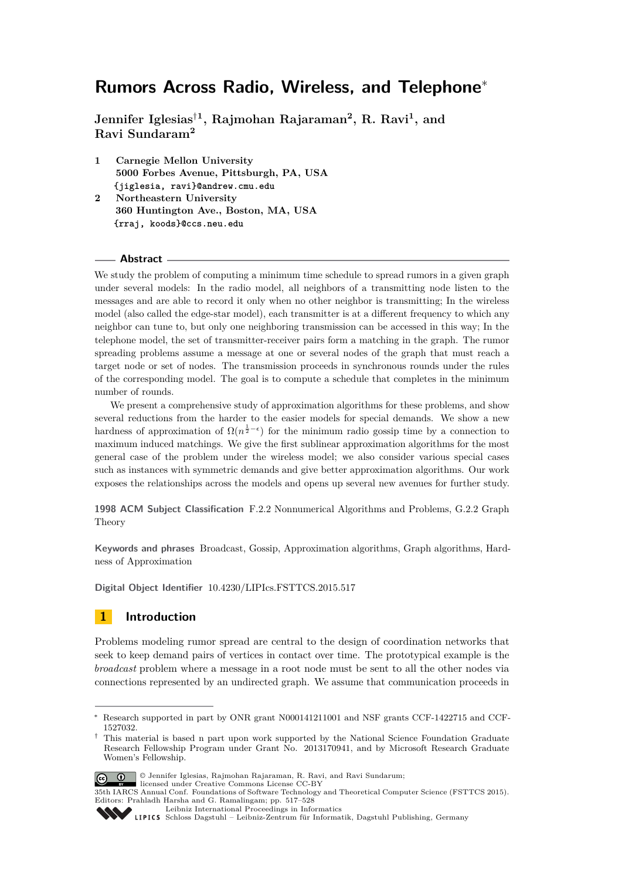**Jennifer Iglesias**†**<sup>1</sup> , Rajmohan Rajaraman<sup>2</sup> , R. Ravi<sup>1</sup> , and Ravi Sundaram<sup>2</sup>**

- **1 Carnegie Mellon University 5000 Forbes Avenue, Pittsburgh, PA, USA {jiglesia, ravi}@andrew.cmu.edu**
- **2 Northeastern University 360 Huntington Ave., Boston, MA, USA {rraj, koods}@ccs.neu.edu**

#### **Abstract**

We study the problem of computing a minimum time schedule to spread rumors in a given graph under several models: In the radio model, all neighbors of a transmitting node listen to the messages and are able to record it only when no other neighbor is transmitting; In the wireless model (also called the edge-star model), each transmitter is at a different frequency to which any neighbor can tune to, but only one neighboring transmission can be accessed in this way; In the telephone model, the set of transmitter-receiver pairs form a matching in the graph. The rumor spreading problems assume a message at one or several nodes of the graph that must reach a target node or set of nodes. The transmission proceeds in synchronous rounds under the rules of the corresponding model. The goal is to compute a schedule that completes in the minimum number of rounds.

We present a comprehensive study of approximation algorithms for these problems, and show several reductions from the harder to the easier models for special demands. We show a new hardness of approximation of  $\Omega(n^{\frac{1}{2}-\epsilon})$  for the minimum radio gossip time by a connection to maximum induced matchings. We give the first sublinear approximation algorithms for the most general case of the problem under the wireless model; we also consider various special cases such as instances with symmetric demands and give better approximation algorithms. Our work exposes the relationships across the models and opens up several new avenues for further study.

**1998 ACM Subject Classification** F.2.2 Nonnumerical Algorithms and Problems, G.2.2 Graph Theory

**Keywords and phrases** Broadcast, Gossip, Approximation algorithms, Graph algorithms, Hardness of Approximation

**Digital Object Identifier** [10.4230/LIPIcs.FSTTCS.2015.517](http://dx.doi.org/10.4230/LIPIcs.FSTTCS.2015.517)

# <span id="page-0-0"></span>**1 Introduction**

Problems modeling rumor spread are central to the design of coordination networks that seek to keep demand pairs of vertices in contact over time. The prototypical example is the *broadcast* problem where a message in a root node must be sent to all the other nodes via connections represented by an undirected graph. We assume that communication proceeds in

<sup>†</sup> This material is based n part upon work supported by the National Science Foundation Graduate Research Fellowship Program under Grant No. 2013170941, and by Microsoft Research Graduate Women's Fellowship.



<sup>©</sup> Jennifer Iglesias, Rajmohan Rajaraman, R. Ravi, and Ravi Sundarum;

[Leibniz International Proceedings in Informatics](http://www.dagstuhl.de/lipics/)

Research supported in part by ONR grant N000141211001 and NSF grants CCF-1422715 and CCF-1527032.

licensed under Creative Commons License CC-BY 35th IARCS Annual Conf. Foundations of Software Technology and Theoretical Computer Science (FSTTCS 2015). Editors: Prahladh Harsha and G. Ramalingam; pp. 517[–528](#page-11-0)

[Schloss Dagstuhl – Leibniz-Zentrum für Informatik, Dagstuhl Publishing, Germany](http://www.dagstuhl.de)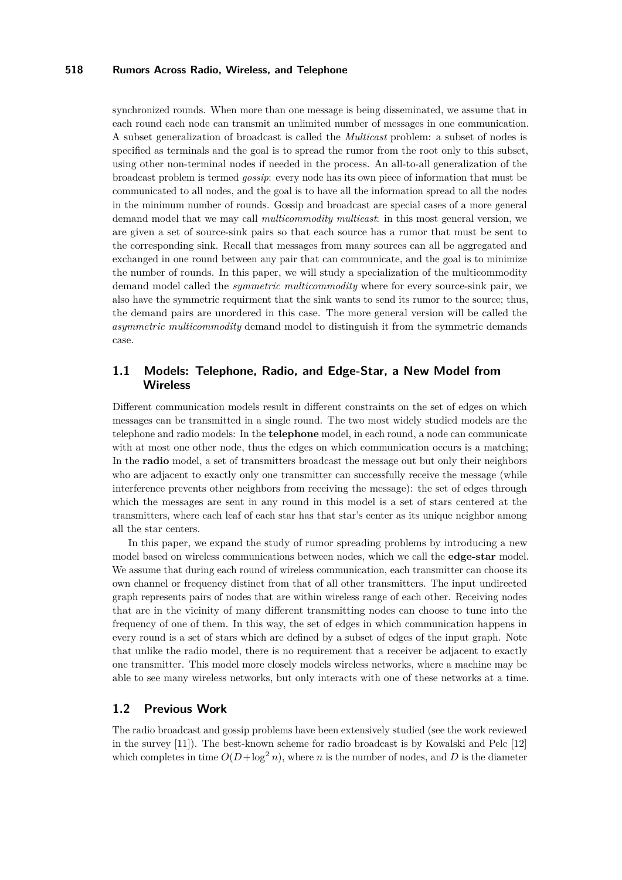synchronized rounds. When more than one message is being disseminated, we assume that in each round each node can transmit an unlimited number of messages in one communication. A subset generalization of broadcast is called the *Multicast* problem: a subset of nodes is specified as terminals and the goal is to spread the rumor from the root only to this subset, using other non-terminal nodes if needed in the process. An all-to-all generalization of the broadcast problem is termed *gossip*: every node has its own piece of information that must be communicated to all nodes, and the goal is to have all the information spread to all the nodes in the minimum number of rounds. Gossip and broadcast are special cases of a more general demand model that we may call *multicommodity multicast*: in this most general version, we are given a set of source-sink pairs so that each source has a rumor that must be sent to the corresponding sink. Recall that messages from many sources can all be aggregated and exchanged in one round between any pair that can communicate, and the goal is to minimize the number of rounds. In this paper, we will study a specialization of the multicommodity demand model called the *symmetric multicommodity* where for every source-sink pair, we also have the symmetric requirment that the sink wants to send its rumor to the source; thus, the demand pairs are unordered in this case. The more general version will be called the *asymmetric multicommodity* demand model to distinguish it from the symmetric demands case.

# **1.1 Models: Telephone, Radio, and Edge-Star, a New Model from Wireless**

Different communication models result in different constraints on the set of edges on which messages can be transmitted in a single round. The two most widely studied models are the telephone and radio models: In the **telephone** model, in each round, a node can communicate with at most one other node, thus the edges on which communication occurs is a matching; In the **radio** model, a set of transmitters broadcast the message out but only their neighbors who are adjacent to exactly only one transmitter can successfully receive the message (while interference prevents other neighbors from receiving the message): the set of edges through which the messages are sent in any round in this model is a set of stars centered at the transmitters, where each leaf of each star has that star's center as its unique neighbor among all the star centers.

In this paper, we expand the study of rumor spreading problems by introducing a new model based on wireless communications between nodes, which we call the **edge-star** model. We assume that during each round of wireless communication, each transmitter can choose its own channel or frequency distinct from that of all other transmitters. The input undirected graph represents pairs of nodes that are within wireless range of each other. Receiving nodes that are in the vicinity of many different transmitting nodes can choose to tune into the frequency of one of them. In this way, the set of edges in which communication happens in every round is a set of stars which are defined by a subset of edges of the input graph. Note that unlike the radio model, there is no requirement that a receiver be adjacent to exactly one transmitter. This model more closely models wireless networks, where a machine may be able to see many wireless networks, but only interacts with one of these networks at a time.

# **1.2 Previous Work**

The radio broadcast and gossip problems have been extensively studied (see the work reviewed in the survey [\[11\]](#page-11-1)). The best-known scheme for radio broadcast is by Kowalski and Pelc [\[12\]](#page-11-2) which completes in time  $O(D + \log^2 n)$ , where *n* is the number of nodes, and *D* is the diameter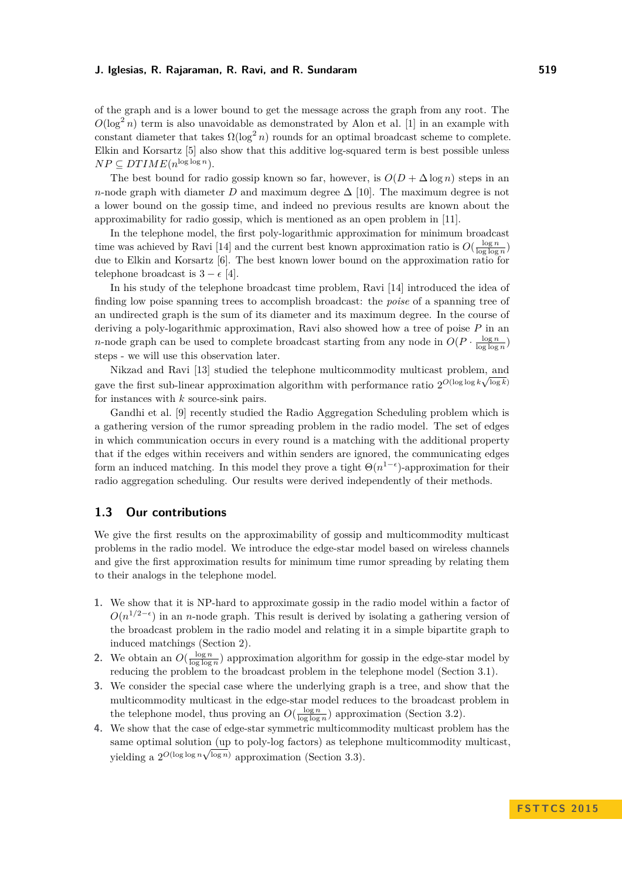of the graph and is a lower bound to get the message across the graph from any root. The  $O(\log^2 n)$  term is also unavoidable as demonstrated by Alon et al. [\[1\]](#page-11-3) in an example with constant diameter that takes  $\Omega(\log^2 n)$  rounds for an optimal broadcast scheme to complete. Elkin and Korsartz [\[5\]](#page-11-4) also show that this additive log-squared term is best possible unless  $NP \subseteq DTIME(n^{\log \log n}).$ 

The best bound for radio gossip known so far, however, is  $O(D + \Delta \log n)$  steps in an *n*-node graph with diameter *D* and maximum degree  $\Delta$  [\[10\]](#page-11-5). The maximum degree is not a lower bound on the gossip time, and indeed no previous results are known about the approximability for radio gossip, which is mentioned as an open problem in [\[11\]](#page-11-1).

In the telephone model, the first poly-logarithmic approximation for minimum broadcast time was achieved by Ravi [\[14\]](#page-11-6) and the current best known approximation ratio is  $O(\frac{\log n}{\log \log n})$ due to Elkin and Korsartz [\[6\]](#page-11-7). The best known lower bound on the approximation ratio for telephone broadcast is  $3 - \epsilon$  [\[4\]](#page-11-8).

In his study of the telephone broadcast time problem, Ravi [\[14\]](#page-11-6) introduced the idea of finding low poise spanning trees to accomplish broadcast: the *poise* of a spanning tree of an undirected graph is the sum of its diameter and its maximum degree. In the course of deriving a poly-logarithmic approximation, Ravi also showed how a tree of poise *P* in an *n*-node graph can be used to complete broadcast starting from any node in  $O(P \cdot \frac{\log n}{\log \log n})$ steps - we will use this observation later.

Nikzad and Ravi [\[13\]](#page-11-9) studied the telephone multicommodity multicast problem, and gave the first sub-linear approximation algorithm with performance ratio  $2^{O(\log \log k \sqrt{\log k}})$ for instances with *k* source-sink pairs.

Gandhi et al. [\[9\]](#page-11-10) recently studied the Radio Aggregation Scheduling problem which is a gathering version of the rumor spreading problem in the radio model. The set of edges in which communication occurs in every round is a matching with the additional property that if the edges within receivers and within senders are ignored, the communicating edges form an induced matching. In this model they prove a tight  $\Theta(n^{1-\epsilon})$ -approximation for their radio aggregation scheduling. Our results were derived independently of their methods.

# **1.3 Our contributions**

We give the first results on the approximability of gossip and multicommodity multicast problems in the radio model. We introduce the edge-star model based on wireless channels and give the first approximation results for minimum time rumor spreading by relating them to their analogs in the telephone model.

- **1.** We show that it is NP-hard to approximate gossip in the radio model within a factor of  $O(n^{1/2-\epsilon})$  in an *n*-node graph. This result is derived by isolating a gathering version of the broadcast problem in the radio model and relating it in a simple bipartite graph to induced matchings (Section [2\)](#page-3-0).
- **2.** We obtain an  $O(\frac{\log n}{\log \log n})$  approximation algorithm for gossip in the edge-star model by reducing the problem to the broadcast problem in the telephone model (Section [3.1\)](#page-5-0).
- **3.** We consider the special case where the underlying graph is a tree, and show that the multicommodity multicast in the edge-star model reduces to the broadcast problem in the telephone model, thus proving an  $O(\frac{\log n}{\log \log n})$  approximation (Section [3.2\)](#page-6-0).
- **4.** We show that the case of edge-star symmetric multicommodity multicast problem has the same optimal solution  $\overline{(\text{up to poly-log factors})}$  as telephone multicommodity multicast, yielding a  $2^{O(\log \log n \sqrt{\log n})}$  approximation (Section [3.3\)](#page-7-0).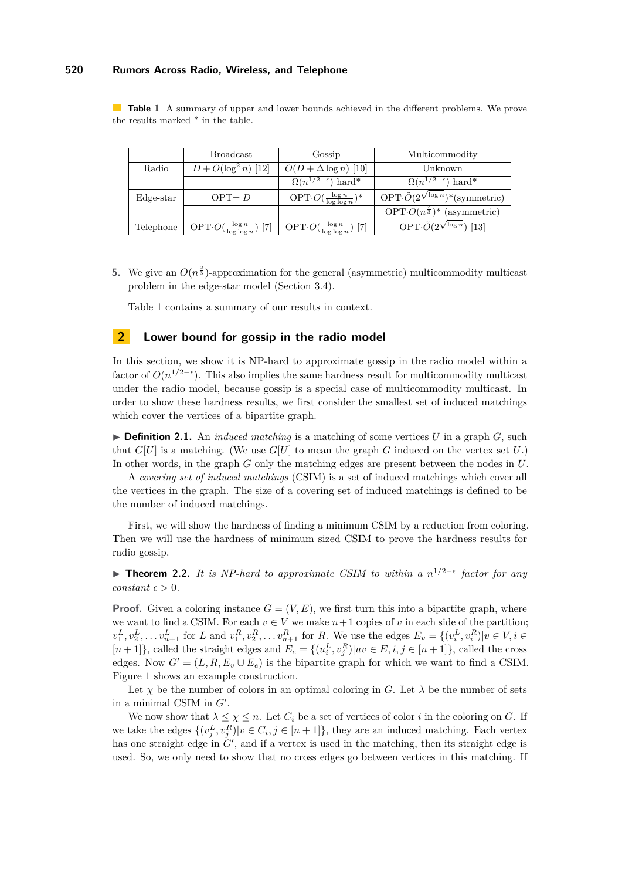<span id="page-3-1"></span>**Table 1** A summary of upper and lower bounds achieved in the different problems. We prove the results marked \* in the table.

|             | <b>Broadcast</b>                        | Gossip                                        | Multicommodity                                                    |
|-------------|-----------------------------------------|-----------------------------------------------|-------------------------------------------------------------------|
| Radio       | $D + O(\log^2 n)$ [12]                  | $O(D + \Delta \log n)$ [10]                   | Unknown                                                           |
|             |                                         | $\sqrt{\Omega(n^{1/2-\epsilon})}$ hard*       | $\Omega(n^{1/2-\epsilon})$ hard*                                  |
| $Edge-star$ | $OPT = D$                               | $OPT \cdot O(\frac{\log n}{\log \log n})^*$   | $\overline{\text{OPT}:\tilde{O}(2^{\sqrt{\log n}})}$ *(symmetric) |
|             |                                         |                                               | $\overline{\text{OPT} \cdot O}(n^{\frac{2}{3}})^*$ (asymmetric)   |
| Telephone   | OPT $O(\frac{\log n}{\log \log n})$ [7] | OPT $\cdot O(\frac{\log n}{\log \log n})$ [7] | OPT $\cdot \tilde{O}(2^{\sqrt{\log n}})$ [13]                     |

**5.** We give an  $O(n^{\frac{2}{3}})$ -approximation for the general (asymmetric) multicommodity multicast problem in the edge-star model (Section [3.4\)](#page-9-0).

Table [1](#page-3-1) contains a summary of our results in context.

## <span id="page-3-0"></span>**2 Lower bound for gossip in the radio model**

In this section, we show it is NP-hard to approximate gossip in the radio model within a factor of  $O(n^{1/2-\epsilon})$ . This also implies the same hardness result for multicommodity multicast under the radio model, because gossip is a special case of multicommodity multicast. In order to show these hardness results, we first consider the smallest set of induced matchings which cover the vertices of a bipartite graph.

 $\triangleright$  **Definition 2.1.** An *induced matching* is a matching of some vertices *U* in a graph *G*, such that  $G[U]$  is a matching. (We use  $G[U]$  to mean the graph G induced on the vertex set U.) In other words, in the graph *G* only the matching edges are present between the nodes in *U*.

A *covering set of induced matchings* (CSIM) is a set of induced matchings which cover all the vertices in the graph. The size of a covering set of induced matchings is defined to be the number of induced matchings.

First, we will show the hardness of finding a minimum CSIM by a reduction from coloring. Then we will use the hardness of minimum sized CSIM to prove the hardness results for radio gossip.

**Find Theorem 2.2.** *It is NP-hard to approximate CSIM to within a n*<sup>1/2− $\epsilon$ </sup> *factor for any constant*  $\epsilon > 0$ *.* 

**Proof.** Given a coloring instance  $G = (V, E)$ , we first turn this into a bipartite graph, where we want to find a CSIM. For each  $v \in V$  we make  $n+1$  copies of  $v$  in each side of the partition;  $v_1^L, v_2^L, \ldots v_{n+1}^L$  for L and  $v_1^R, v_2^R, \ldots v_{n+1}^R$  for R. We use the edges  $E_v = \{(v_i^L, v_i^R) | v \in V, i \in$  $[n+1]$ , called the straight edges and  $E_e = \{(u_i^L, v_j^R)|uv \in E, i, j \in [n+1]\}$ , called the cross edges. Now  $G' = (L, R, E_v \cup E_e)$  is the bipartite graph for which we want to find a CSIM. Figure [1](#page-4-0) shows an example construction.

Let  $\chi$  be the number of colors in an optimal coloring in *G*. Let  $\lambda$  be the number of sets in a minimal CSIM in  $G'$ .

We now show that  $\lambda \leq \chi \leq n$ . Let  $C_i$  be a set of vertices of color *i* in the coloring on *G*. If we take the edges  $\{(v_j^L, v_j^R)|v \in C_i, j \in [n+1]\}$ , they are an induced matching. Each vertex has one straight edge in  $G'$ , and if a vertex is used in the matching, then its straight edge is used. So, we only need to show that no cross edges go between vertices in this matching. If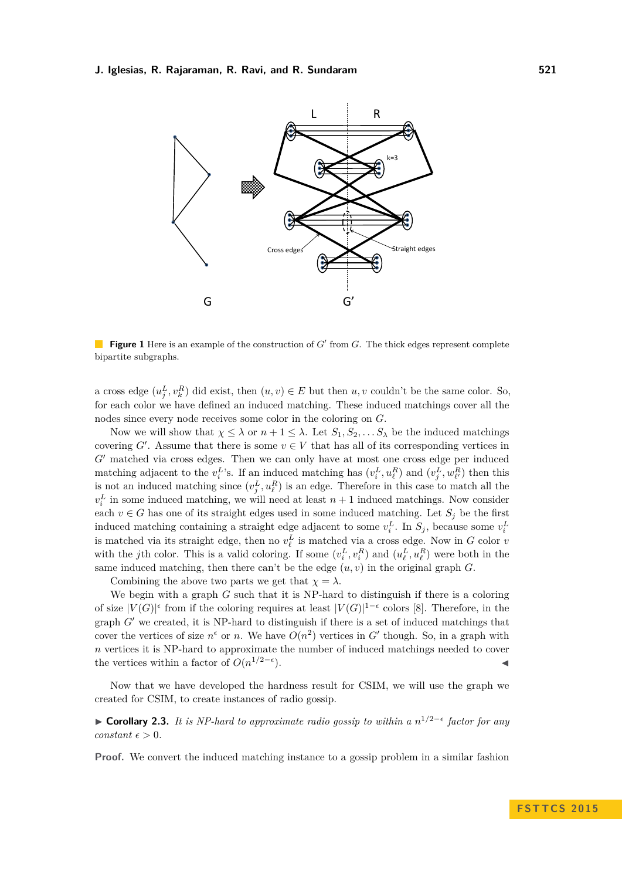<span id="page-4-0"></span>

**Figure 1** Here is an example of the construction of  $G'$  from  $G$ . The thick edges represent complete bipartite subgraphs.

a cross edge  $(u_j^L, v_k^R)$  did exist, then  $(u, v) \in E$  but then  $u, v$  couldn't be the same color. So, for each color we have defined an induced matching. These induced matchings cover all the nodes since every node receives some color in the coloring on *G*.

Now we will show that  $\chi \leq \lambda$  or  $n+1 \leq \lambda$ . Let  $S_1, S_2, \ldots S_\lambda$  be the induced matchings covering  $G'$ . Assume that there is some  $v \in V$  that has all of its corresponding vertices in *G*<sup> $\prime$ </sup> matched via cross edges. Then we can only have at most one cross edge per induced matching adjacent to the  $v_i^L$ 's. If an induced matching has  $(v_i^L, u_\ell^R)$  and  $(v_j^L, w_{\ell'}^R)$  then this is not an induced matching since  $(v_j^L, u_\ell^R)$  is an edge. Therefore in this case to match all the  $v_i^L$  in some induced matching, we will need at least  $n+1$  induced matchings. Now consider each  $v \in G$  has one of its straight edges used in some induced matching. Let  $S_i$  be the first induced matching containing a straight edge adjacent to some  $v_i^L$ . In  $S_j$ , because some  $v_i^L$ is matched via its straight edge, then no  $v_{\ell}^L$  is matched via a cross edge. Now in *G* color *v* with the *j*th color. This is a valid coloring. If some  $(v_i^L, v_i^R)$  and  $(u_\ell^L, u_\ell^R)$  were both in the same induced matching, then there can't be the edge  $(u, v)$  in the original graph  $G$ .

Combining the above two parts we get that  $\chi = \lambda$ .

We begin with a graph *G* such that it is NP-hard to distinguish if there is a coloring of size  $|V(G)|^{\epsilon}$  from if the coloring requires at least  $|V(G)|^{1-\epsilon}$  colors [\[8\]](#page-11-12). Therefore, in the graph  $G'$  we created, it is NP-hard to distinguish if there is a set of induced matchings that cover the vertices of size  $n^{\epsilon}$  or *n*. We have  $O(n^2)$  vertices in *G*<sup> $\prime$ </sup> though. So, in a graph with *n* vertices it is NP-hard to approximate the number of induced matchings needed to cover the vertices within a factor of  $O(n^{1/2-\epsilon})$  $\blacksquare$ ).

Now that we have developed the hardness result for CSIM, we will use the graph we created for CSIM, to create instances of radio gossip.

I **Corollary 2.3.** *It is NP-hard to approximate radio gossip to within a n* 1*/*2− *factor for any constant*  $\epsilon > 0$ *.* 

**Proof.** We convert the induced matching instance to a gossip problem in a similar fashion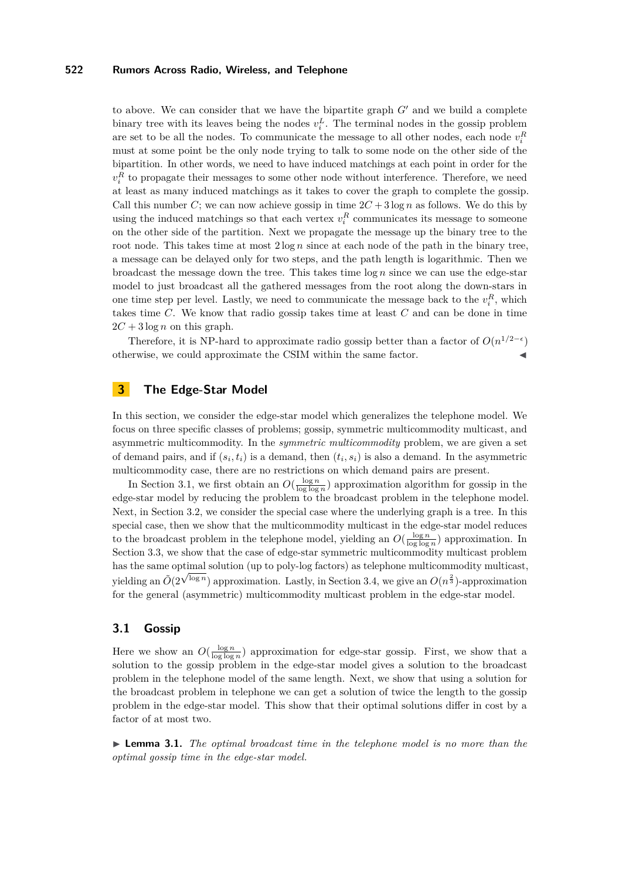to above. We can consider that we have the bipartite graph  $G<sup>0</sup>$  and we build a complete binary tree with its leaves being the nodes  $v_i^L$ . The terminal nodes in the gossip problem are set to be all the nodes. To communicate the message to all other nodes, each node  $v_i^R$ must at some point be the only node trying to talk to some node on the other side of the bipartition. In other words, we need to have induced matchings at each point in order for the  $v_i^R$  to propagate their messages to some other node without interference. Therefore, we need at least as many induced matchings as it takes to cover the graph to complete the gossip. Call this number *C*; we can now achieve gossip in time  $2C + 3 \log n$  as follows. We do this by using the induced matchings so that each vertex  $v_i^R$  communicates its message to someone on the other side of the partition. Next we propagate the message up the binary tree to the root node. This takes time at most  $2 \log n$  since at each node of the path in the binary tree, a message can be delayed only for two steps, and the path length is logarithmic. Then we broadcast the message down the tree. This takes time log *n* since we can use the edge-star model to just broadcast all the gathered messages from the root along the down-stars in one time step per level. Lastly, we need to communicate the message back to the  $v_i^R$ , which takes time *C*. We know that radio gossip takes time at least *C* and can be done in time  $2C + 3 \log n$  on this graph.

Therefore, it is NP-hard to approximate radio gossip better than a factor of  $O(n^{1/2-\epsilon})$ otherwise, we could approximate the CSIM within the same factor. J

# **3 The Edge-Star Model**

In this section, we consider the edge-star model which generalizes the telephone model. We focus on three specific classes of problems; gossip, symmetric multicommodity multicast, and asymmetric multicommodity. In the *symmetric multicommodity* problem, we are given a set of demand pairs, and if  $(s_i, t_i)$  is a demand, then  $(t_i, s_i)$  is also a demand. In the asymmetric multicommodity case, there are no restrictions on which demand pairs are present.

In Section [3.1,](#page-5-0) we first obtain an  $O(\frac{\log n}{\log \log n})$  approximation algorithm for gossip in the edge-star model by reducing the problem to the broadcast problem in the telephone model. Next, in Section [3.2,](#page-6-0) we consider the special case where the underlying graph is a tree. In this special case, then we show that the multicommodity multicast in the edge-star model reduces to the broadcast problem in the telephone model, yielding an  $O(\frac{\log n}{\log \log n})$  approximation. In Section [3.3,](#page-7-0) we show that the case of edge-star symmetric multicommodity multicast problem has the same optimal solution (up to poly-log factors) as telephone multicommodity multicast, yielding an  $\tilde{O}(2^{\sqrt{\log n}})$  approximation. Lastly, in Section [3.4,](#page-9-0) we give an  $O(n^{\frac{2}{3}})$ -approximation for the general (asymmetric) multicommodity multicast problem in the edge-star model.

#### <span id="page-5-0"></span>**3.1 Gossip**

Here we show an  $O(\frac{\log n}{\log \log n})$  approximation for edge-star gossip. First, we show that a solution to the gossip problem in the edge-star model gives a solution to the broadcast problem in the telephone model of the same length. Next, we show that using a solution for the broadcast problem in telephone we can get a solution of twice the length to the gossip problem in the edge-star model. This show that their optimal solutions differ in cost by a factor of at most two.

<span id="page-5-1"></span>**Lemma 3.1.** *The optimal broadcast time in the telephone model is no more than the optimal gossip time in the edge-star model.*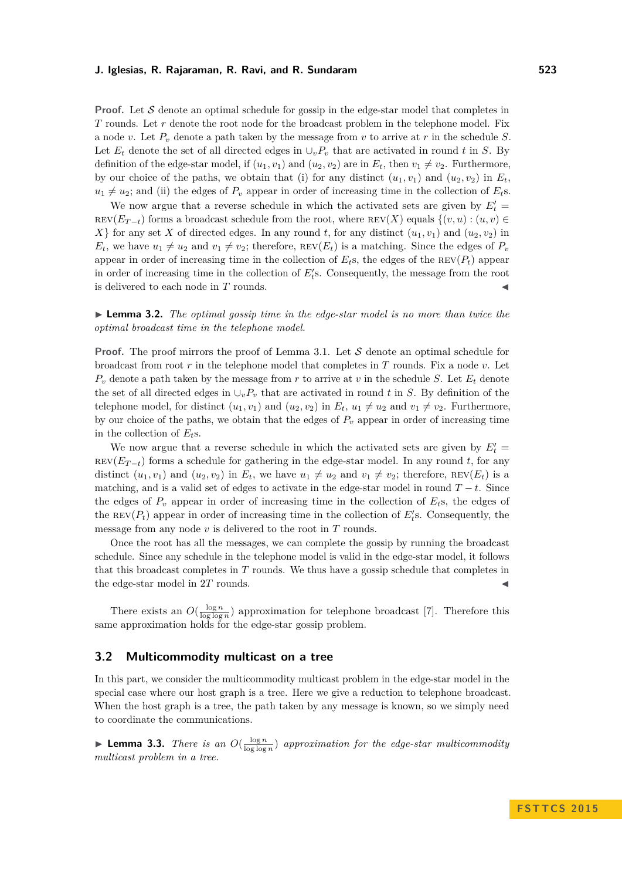**Proof.** Let S denote an optimal schedule for gossip in the edge-star model that completes in *T* rounds. Let *r* denote the root node for the broadcast problem in the telephone model. Fix a node *v*. Let *P<sup>v</sup>* denote a path taken by the message from *v* to arrive at *r* in the schedule *S*. Let  $E_t$  denote the set of all directed edges in  $\cup_v P_v$  that are activated in round *t* in *S*. By definition of the edge-star model, if  $(u_1, v_1)$  and  $(u_2, v_2)$  are in  $E_t$ , then  $v_1 \neq v_2$ . Furthermore, by our choice of the paths, we obtain that (i) for any distinct  $(u_1, v_1)$  and  $(u_2, v_2)$  in  $E_t$ ,  $u_1 \neq u_2$ ; and (ii) the edges of  $P_v$  appear in order of increasing time in the collection of  $E_t$ s.

We now argue that a reverse schedule in which the activated sets are given by  $E_t' =$  $rev(E_{T-t})$  forms a broadcast schedule from the root, where  $rev(X)$  equals  $\{(v, u) : (u, v) \in$ *X*} for any set *X* of directed edges. In any round *t*, for any distinct  $(u_1, v_1)$  and  $(u_2, v_2)$  in  $E_t$ , we have  $u_1 \neq u_2$  and  $v_1 \neq v_2$ ; therefore,  $REV(E_t)$  is a matching. Since the edges of  $P_v$ appear in order of increasing time in the collection of  $E_t$ s, the edges of the  $REV(P_t)$  appear in order of increasing time in the collection of  $E'_{t}$ s. Consequently, the message from the root is delivered to each node in *T* rounds.

**Lemma 3.2.** *The optimal gossip time in the edge-star model is no more than twice the optimal broadcast time in the telephone model.*

**Proof.** The proof mirrors the proof of Lemma [3.1.](#page-5-1) Let S denote an optimal schedule for broadcast from root *r* in the telephone model that completes in *T* rounds. Fix a node *v*. Let  $P_v$  denote a path taken by the message from *r* to arrive at *v* in the schedule *S*. Let  $E_t$  denote the set of all directed edges in  $\cup_v P_v$  that are activated in round *t* in *S*. By definition of the telephone model, for distinct  $(u_1, v_1)$  and  $(u_2, v_2)$  in  $E_t$ ,  $u_1 \neq u_2$  and  $v_1 \neq v_2$ . Furthermore, by our choice of the paths, we obtain that the edges of  $P<sub>v</sub>$  appear in order of increasing time in the collection of *Et*s.

We now argue that a reverse schedule in which the activated sets are given by  $E_t' =$  $rev(E_{T-t})$  forms a schedule for gathering in the edge-star model. In any round *t*, for any distinct  $(u_1, v_1)$  and  $(u_2, v_2)$  in  $E_t$ , we have  $u_1 \neq u_2$  and  $v_1 \neq v_2$ ; therefore, REV( $E_t$ ) is a matching, and is a valid set of edges to activate in the edge-star model in round  $T - t$ . Since the edges of  $P_v$  appear in order of increasing time in the collection of  $E_t$ s, the edges of the REV $(P_t)$  appear in order of increasing time in the collection of  $E'_t$ s. Consequently, the message from any node *v* is delivered to the root in *T* rounds.

Once the root has all the messages, we can complete the gossip by running the broadcast schedule. Since any schedule in the telephone model is valid in the edge-star model, it follows that this broadcast completes in *T* rounds. We thus have a gossip schedule that completes in the edge-star model in 2T rounds.

There exists an  $O(\frac{\log n}{\log \log n})$  approximation for telephone broadcast [\[7\]](#page-11-11). Therefore this same approximation holds for the edge-star gossip problem.

## <span id="page-6-0"></span>**3.2 Multicommodity multicast on a tree**

In this part, we consider the multicommodity multicast problem in the edge-star model in the special case where our host graph is a tree. Here we give a reduction to telephone broadcast. When the host graph is a tree, the path taken by any message is known, so we simply need to coordinate the communications.

**Lemma 3.3.** *There is an*  $O(\frac{\log n}{\log \log n})$  *approximation for the edge-star multicommodity multicast problem in a tree.*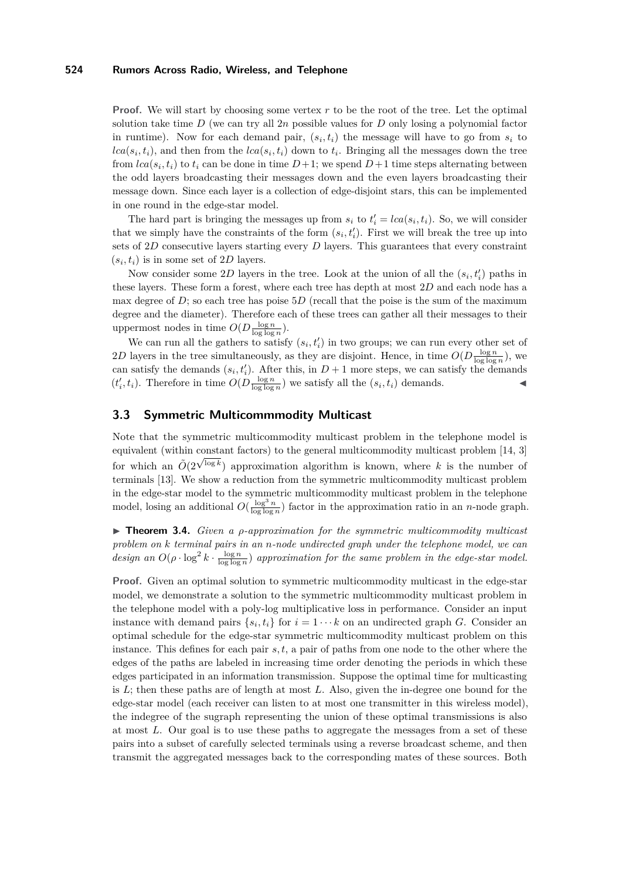**Proof.** We will start by choosing some vertex r to be the root of the tree. Let the optimal solution take time  $D$  (we can try all  $2n$  possible values for  $D$  only losing a polynomial factor in runtime). Now for each demand pair,  $(s_i, t_i)$  the message will have to go from  $s_i$  to  $lca(s_i, t_i)$ , and then from the  $lca(s_i, t_i)$  down to  $t_i$ . Bringing all the messages down the tree from  $lca(s_i, t_i)$  to  $t_i$  can be done in time  $D+1$ ; we spend  $D+1$  time steps alternating between the odd layers broadcasting their messages down and the even layers broadcasting their message down. Since each layer is a collection of edge-disjoint stars, this can be implemented in one round in the edge-star model.

The hard part is bringing the messages up from  $s_i$  to  $t'_i = \text{lca}(s_i, t_i)$ . So, we will consider that we simply have the constraints of the form  $(s_i, t'_i)$ . First we will break the tree up into sets of 2*D* consecutive layers starting every *D* layers. This guarantees that every constraint  $(s_i, t_i)$  is in some set of 2D layers.

Now consider some 2D layers in the tree. Look at the union of all the  $(s_i, t'_i)$  paths in these layers. These form a forest, where each tree has depth at most 2*D* and each node has a max degree of  $D$ ; so each tree has poise  $5D$  (recall that the poise is the sum of the maximum degree and the diameter). Therefore each of these trees can gather all their messages to their uppermost nodes in time  $O(D \frac{\log n}{\log \log n})$ .

We can run all the gathers to satisfy  $(s_i, t'_i)$  in two groups; we can run every other set of 2*D* layers in the tree simultaneously, as they are disjoint. Hence, in time  $O(D \frac{\log n}{\log \log n})$ , we can satisfy the demands  $(s_i, t'_i)$ . After this, in  $D+1$  more steps, we can satisfy the demands  $(t'_i, t_i)$ . Therefore in time  $O(D \frac{\log n}{\log \log n})$  we satisfy all the  $(s_i, t_i)$  demands.

## <span id="page-7-0"></span>**3.3 Symmetric Multicommmodity Multicast**

Note that the symmetric multicommodity multicast problem in the telephone model is equivalent (within constant factors) to the general multicommodity multicast problem [\[14,](#page-11-6) [3\]](#page-11-13) for which an  $O(2^{\sqrt{\log k}})$  approximation algorithm is known, where k is the number of terminals [\[13\]](#page-11-9). We show a reduction from the symmetric multicommodity multicast problem in the edge-star model to the symmetric multicommodity multicast problem in the telephone model, losing an additional  $O(\frac{\log^3 n}{\log \log n})$  factor in the approximation ratio in an *n*-node graph.

I **Theorem 3.4.** *Given a ρ-approximation for the symmetric multicommodity multicast problem on k terminal pairs in an n-node undirected graph under the telephone model, we can* design an  $O(\rho \cdot \log^2 k \cdot \frac{\log n}{\log \log n})$  approximation for the same problem in the edge-star model.

**Proof.** Given an optimal solution to symmetric multicommodity multicast in the edge-star model, we demonstrate a solution to the symmetric multicommodity multicast problem in the telephone model with a poly-log multiplicative loss in performance. Consider an input instance with demand pairs  $\{s_i, t_i\}$  for  $i = 1 \cdots k$  on an undirected graph *G*. Consider an optimal schedule for the edge-star symmetric multicommodity multicast problem on this instance. This defines for each pair *s, t*, a pair of paths from one node to the other where the edges of the paths are labeled in increasing time order denoting the periods in which these edges participated in an information transmission. Suppose the optimal time for multicasting is *L*; then these paths are of length at most *L*. Also, given the in-degree one bound for the edge-star model (each receiver can listen to at most one transmitter in this wireless model), the indegree of the sugraph representing the union of these optimal transmissions is also at most *L*. Our goal is to use these paths to aggregate the messages from a set of these pairs into a subset of carefully selected terminals using a reverse broadcast scheme, and then transmit the aggregated messages back to the corresponding mates of these sources. Both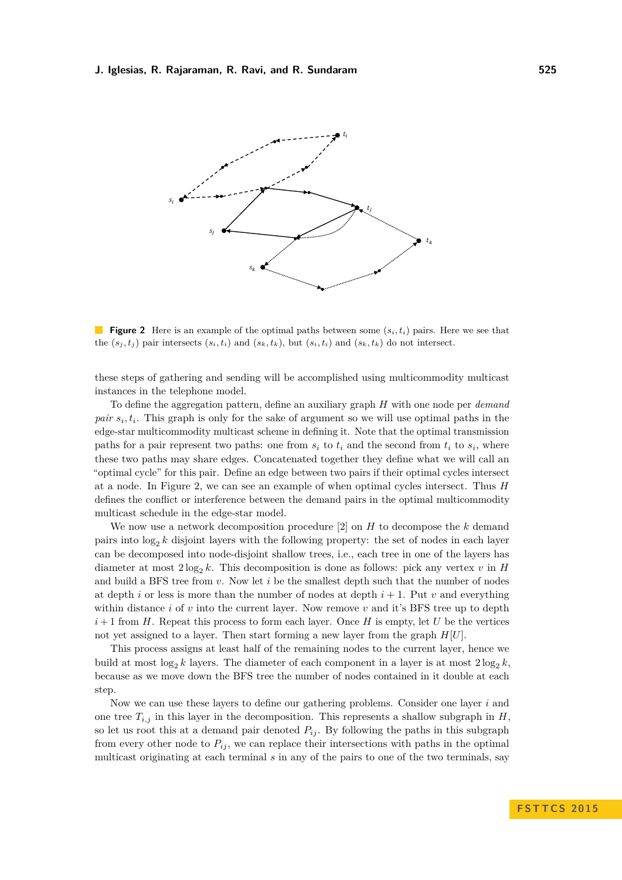<span id="page-8-0"></span>

**Figure 2** Here is an example of the optimal paths between some (*si, ti*) pairs. Here we see that the  $(s_i, t_i)$  pair intersects  $(s_i, t_i)$  and  $(s_k, t_k)$ , but  $(s_i, t_i)$  and  $(s_k, t_k)$  do not intersect.

these steps of gathering and sending will be accomplished using multicommodity multicast instances in the telephone model.

To define the aggregation pattern, define an auxiliary graph *H* with one node per *demand pair*  $s_i, t_i$ . This graph is only for the sake of argument so we will use optimal paths in the edge-star multicommodity multicast scheme in defining it. Note that the optimal transmission paths for a pair represent two paths: one from  $s_i$  to  $t_i$  and the second from  $t_i$  to  $s_i$ , where these two paths may share edges. Concatenated together they define what we will call an "optimal cycle" for this pair. Define an edge between two pairs if their optimal cycles intersect at a node. In Figure [2,](#page-8-0) we can see an example of when optimal cycles intersect. Thus *H* defines the conflict or interference between the demand pairs in the optimal multicommodity multicast schedule in the edge-star model.

We now use a network decomposition procedure [\[2\]](#page-11-14) on *H* to decompose the *k* demand pairs into  $log_2 k$  disjoint layers with the following property: the set of nodes in each layer can be decomposed into node-disjoint shallow trees, i.e., each tree in one of the layers has diameter at most  $2 \log_2 k$ . This decomposition is done as follows: pick any vertex *v* in *H* and build a BFS tree from *v*. Now let *i* be the smallest depth such that the number of nodes at depth *i* or less is more than the number of nodes at depth  $i + 1$ . Put *v* and everything within distance *i* of *v* into the current layer. Now remove *v* and it's BFS tree up to depth  $i+1$  from *H*. Repeat this process to form each layer. Once *H* is empty, let *U* be the vertices not yet assigned to a layer. Then start forming a new layer from the graph *H*[*U*].

This process assigns at least half of the remaining nodes to the current layer, hence we build at most  $\log_2 k$  layers. The diameter of each component in a layer is at most  $2\log_2 k$ , because as we move down the BFS tree the number of nodes contained in it double at each step.

Now we can use these layers to define our gathering problems. Consider one layer *i* and one tree  $T_{i,j}$  in this layer in the decomposition. This represents a shallow subgraph in *H*, so let us root this at a demand pair denoted  $P_{ij}$ . By following the paths in this subgraph from every other node to  $P_{ij}$ , we can replace their intersections with paths in the optimal multicast originating at each terminal *s* in any of the pairs to one of the two terminals, say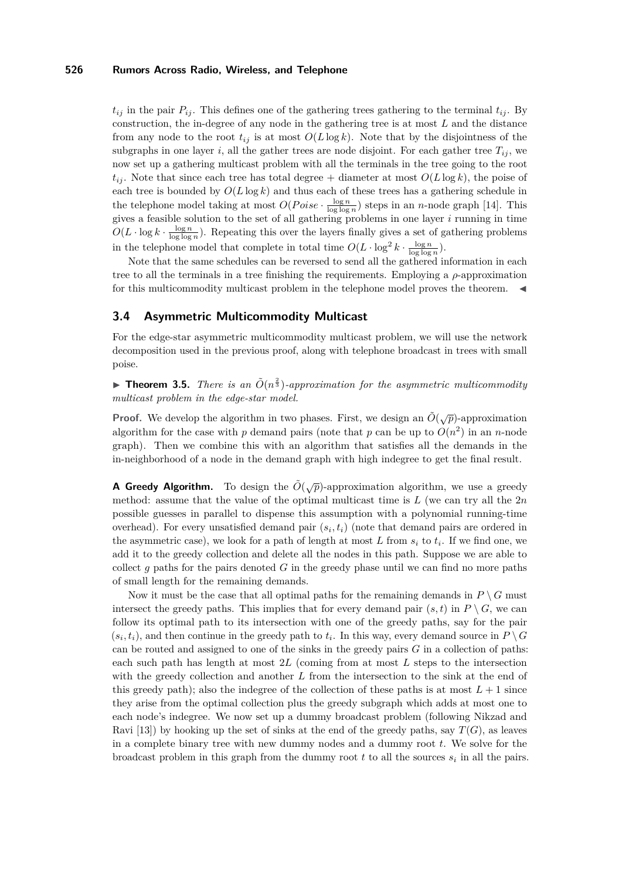$t_{ij}$  in the pair  $P_{ij}$ . This defines one of the gathering trees gathering to the terminal  $t_{ij}$ . By construction, the in-degree of any node in the gathering tree is at most *L* and the distance from any node to the root  $t_{ij}$  is at most  $O(L \log k)$ . Note that by the disjointness of the subgraphs in one layer *i*, all the gather trees are node disjoint. For each gather tree  $T_{ij}$ , we now set up a gathering multicast problem with all the terminals in the tree going to the root  $t_{ij}$ . Note that since each tree has total degree + diameter at most  $O(L \log k)$ , the poise of each tree is bounded by  $O(L \log k)$  and thus each of these trees has a gathering schedule in the telephone model taking at most  $O(Poise \cdot \frac{\log n}{\log \log n})$  steps in an *n*-node graph [\[14\]](#page-11-6). This gives a feasible solution to the set of all gathering problems in one layer *i* running in time  $O(L \cdot \log k \cdot \frac{\log n}{\log \log n})$ . Repeating this over the layers finally gives a set of gathering problems in the telephone model that complete in total time  $O(L \cdot \log^2 k \cdot \frac{\log n}{\log \log n})$ .

Note that the same schedules can be reversed to send all the gathered information in each tree to all the terminals in a tree finishing the requirements. Employing a *ρ*-approximation for this multicommodity multicast problem in the telephone model proves the theorem.  $\blacktriangleleft$ 

# <span id="page-9-0"></span>**3.4 Asymmetric Multicommodity Multicast**

For the edge-star asymmetric multicommodity multicast problem, we will use the network decomposition used in the previous proof, along with telephone broadcast in trees with small poise.

**Theorem 3.5.** *There is an*  $\tilde{O}(n^{\frac{2}{3}})$ -approximation for the asymmetric multicommodity *multicast problem in the edge-star model.*

**Proof.** We develop the algorithm in two phases. First, we design an  $\tilde{O}(\sqrt{p})$ -approximation algorithm for the case with *p* demand pairs (note that *p* can be up to  $O(n^2)$  in an *n*-node graph). Then we combine this with an algorithm that satisfies all the demands in the in-neighborhood of a node in the demand graph with high indegree to get the final result.

**A Greedy Algorithm.** To design the  $\tilde{O}(\sqrt{p})$ -approximation algorithm, we use a greedy method: assume that the value of the optimal multicast time is *L* (we can try all the 2*n* possible guesses in parallel to dispense this assumption with a polynomial running-time overhead). For every unsatisfied demand pair  $(s_i, t_i)$  (note that demand pairs are ordered in the asymmetric case), we look for a path of length at most  $L$  from  $s_i$  to  $t_i$ . If we find one, we add it to the greedy collection and delete all the nodes in this path. Suppose we are able to collect *g* paths for the pairs denoted *G* in the greedy phase until we can find no more paths of small length for the remaining demands.

Now it must be the case that all optimal paths for the remaining demands in  $P \setminus G$  must intersect the greedy paths. This implies that for every demand pair  $(s, t)$  in  $P \setminus G$ , we can follow its optimal path to its intersection with one of the greedy paths, say for the pair  $(s_i, t_i)$ , and then continue in the greedy path to  $t_i$ . In this way, every demand source in  $P \setminus G$ can be routed and assigned to one of the sinks in the greedy pairs *G* in a collection of paths: each such path has length at most 2*L* (coming from at most *L* steps to the intersection with the greedy collection and another *L* from the intersection to the sink at the end of this greedy path); also the indegree of the collection of these paths is at most  $L+1$  since they arise from the optimal collection plus the greedy subgraph which adds at most one to each node's indegree. We now set up a dummy broadcast problem (following Nikzad and Ravi [\[13\]](#page-11-9)) by hooking up the set of sinks at the end of the greedy paths, say  $T(G)$ , as leaves in a complete binary tree with new dummy nodes and a dummy root *t*. We solve for the broadcast problem in this graph from the dummy root  $t$  to all the sources  $s_i$  in all the pairs.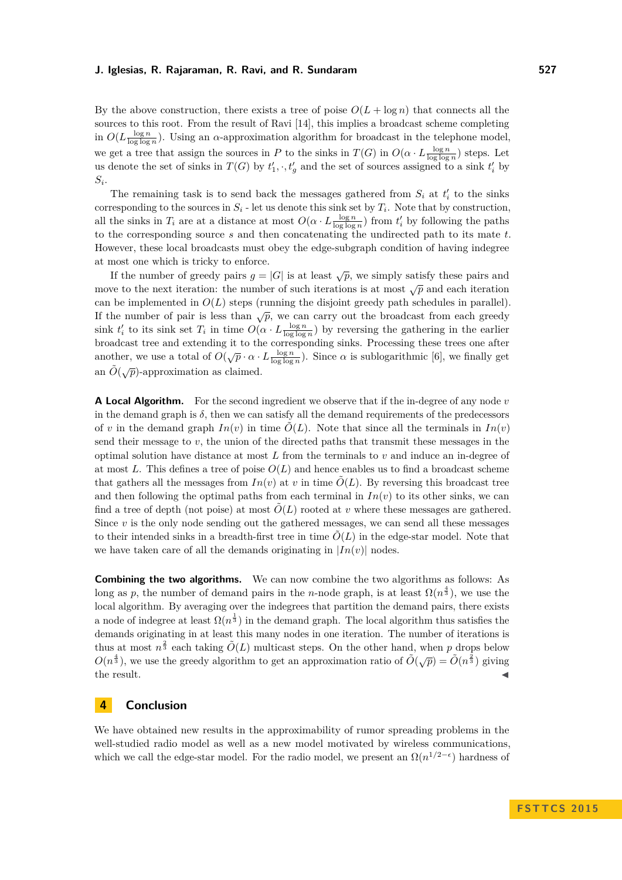By the above construction, there exists a tree of poise  $O(L + \log n)$  that connects all the sources to this root. From the result of Ravi [\[14\]](#page-11-6), this implies a broadcast scheme completing in  $O(L \frac{\log n}{\log \log n})$ . Using an *α*-approximation algorithm for broadcast in the telephone model, we get a tree that assign the sources in *P* to the sinks in  $T(G)$  in  $O(\alpha \cdot L \frac{\log n}{\log \log n})$  steps. Let us denote the set of sinks in  $T(G)$  by  $t'_{1}, \cdot, t'_{g}$  and the set of sources assigned to a sink  $t'_{i}$  by  $S_i$ .

The remaining task is to send back the messages gathered from  $S_i$  at  $t'_i$  to the sinks corresponding to the sources in  $S_i$  - let us denote this sink set by  $T_i$ . Note that by construction, all the sinks in  $T_i$  are at a distance at most  $O(\alpha \cdot L \frac{\log n}{\log \log n})$  from  $t_i'$  by following the paths to the corresponding source *s* and then concatenating the undirected path to its mate *t*. However, these local broadcasts must obey the edge-subgraph condition of having indegree at most one which is tricky to enforce.

If the number of greedy pairs  $g = |G|$  is at least  $\sqrt{p}$ , we simply satisfy these pairs and move to the next iteration: the number of such iterations is at most  $\sqrt{p}$  and each iteration can be implemented in  $O(L)$  steps (running the disjoint greedy path schedules in parallel). If the number of pair is less than  $\sqrt{p}$ , we can carry out the broadcast from each greedy sink  $t'_i$  to its sink set  $T_i$  in time  $O(\alpha \cdot L \frac{\log n}{\log \log n})$  by reversing the gathering in the earlier broadcast tree and extending it to the corresponding sinks. Processing these trees one after another, we use a total of  $O(\sqrt{p} \cdot \alpha \cdot L \frac{\log n}{\log \log n})$ . Since  $\alpha$  is sublogarithmic [\[6\]](#page-11-7), we finally get an  $\tilde{O}(\sqrt{p})$ -approximation as claimed.

**A Local Algorithm.** For the second ingredient we observe that if the in-degree of any node *v* in the demand graph is  $\delta$ , then we can satisfy all the demand requirements of the predecessors of *v* in the demand graph  $In(v)$  in time  $\tilde{O}(L)$ . Note that since all the terminals in  $In(v)$ send their message to  $v$ , the union of the directed paths that transmit these messages in the optimal solution have distance at most *L* from the terminals to *v* and induce an in-degree of at most L. This defines a tree of poise  $O(L)$  and hence enables us to find a broadcast scheme that gathers all the messages from  $In(v)$  at *v* in time  $\tilde{O}(L)$ . By reversing this broadcast tree and then following the optimal paths from each terminal in  $In(v)$  to its other sinks, we can find a tree of depth (not poise) at most  $\tilde{O}(L)$  rooted at *v* where these messages are gathered. Since *v* is the only node sending out the gathered messages, we can send all these messages to their intended sinks in a breadth-first tree in time  $\tilde{O}(L)$  in the edge-star model. Note that we have taken care of all the demands originating in  $|In(v)|$  nodes.

**Combining the two algorithms.** We can now combine the two algorithms as follows: As long as *p*, the number of demand pairs in the *n*-node graph, is at least  $\Omega(n^{\frac{4}{3}})$ , we use the local algorithm. By averaging over the indegrees that partition the demand pairs, there exists a node of indegree at least  $\Omega(n^{\frac{1}{3}})$  in the demand graph. The local algorithm thus satisfies the demands originating in at least this many nodes in one iteration. The number of iterations is thus at most  $n^{\frac{2}{3}}$  each taking  $\tilde{O}(L)$  multicast steps. On the other hand, when *p* drops below  $O(n^{\frac{4}{3}})$ , we use the greedy algorithm to get an approximation ratio of  $\tilde{O}(\sqrt{p}) = \tilde{O}(n^{\frac{2}{3}})$  giving the result.  $\blacksquare$ 

## **4 Conclusion**

We have obtained new results in the approximability of rumor spreading problems in the well-studied radio model as well as a new model motivated by wireless communications, which we call the edge-star model. For the radio model, we present an  $\Omega(n^{1/2-\epsilon})$  hardness of